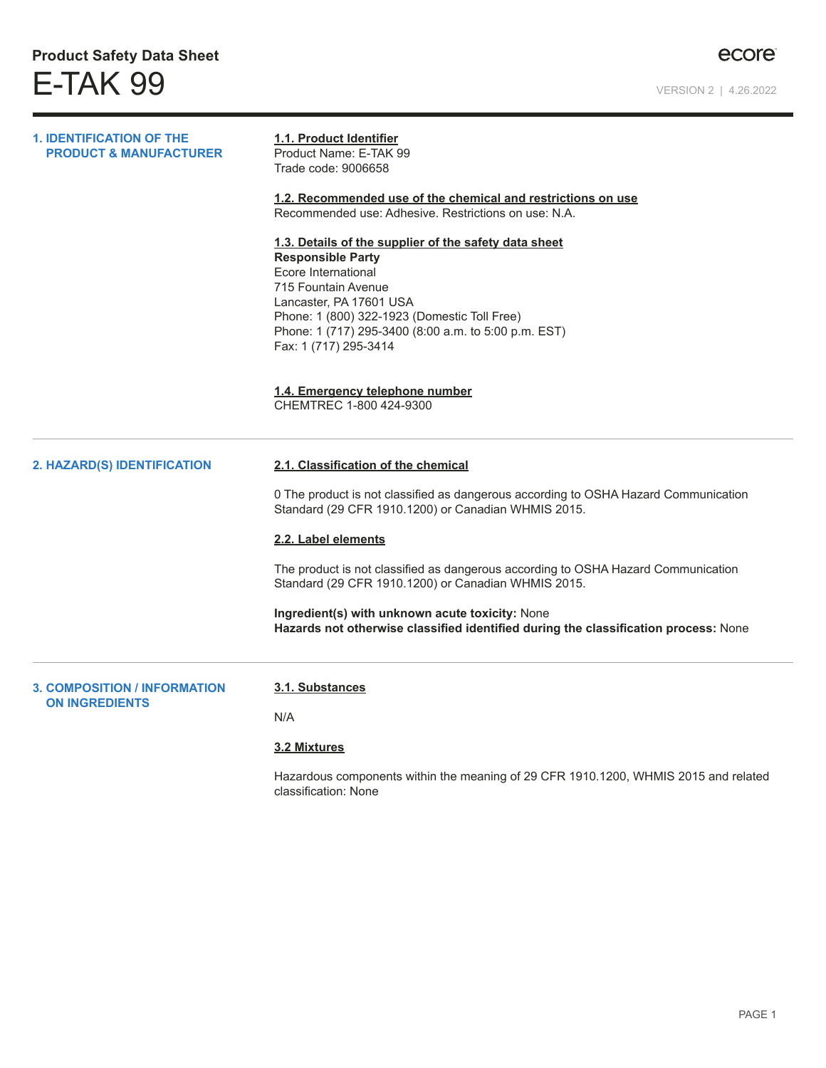| <b>1. IDENTIFICATION OF THE</b><br><b>PRODUCT &amp; MANUFACTURER</b> | 1.1. Product Identifier<br>Product Name: E-TAK 99<br>Trade code: 9006658<br>1.2. Recommended use of the chemical and restrictions on use<br>Recommended use: Adhesive. Restrictions on use: N.A.<br>1.3. Details of the supplier of the safety data sheet<br><b>Responsible Party</b><br>Ecore International<br>715 Fountain Avenue<br>Lancaster, PA 17601 USA<br>Phone: 1 (800) 322-1923 (Domestic Toll Free)<br>Phone: 1 (717) 295-3400 (8:00 a.m. to 5:00 p.m. EST)<br>Fax: 1 (717) 295-3414<br>1.4. Emergency telephone number<br>CHEMTREC 1-800 424-9300 |
|----------------------------------------------------------------------|---------------------------------------------------------------------------------------------------------------------------------------------------------------------------------------------------------------------------------------------------------------------------------------------------------------------------------------------------------------------------------------------------------------------------------------------------------------------------------------------------------------------------------------------------------------|
| 2. HAZARD(S) IDENTIFICATION                                          | 2.1. Classification of the chemical<br>0 The product is not classified as dangerous according to OSHA Hazard Communication<br>Standard (29 CFR 1910.1200) or Canadian WHMIS 2015.<br>2.2. Label elements<br>The product is not classified as dangerous according to OSHA Hazard Communication<br>Standard (29 CFR 1910.1200) or Canadian WHMIS 2015.<br>Ingredient(s) with unknown acute toxicity: None<br>Hazards not otherwise classified identified during the classification process: None                                                                |
| <b>3. COMPOSITION / INFORMATION</b><br><b>ON INGREDIENTS</b>         | 3.1. Substances<br>N/A<br><b>3.2 Mixtures</b><br>Hazardous components within the meaning of 29 CFR 1910.1200, WHMIS 2015 and related<br>classification: None                                                                                                                                                                                                                                                                                                                                                                                                  |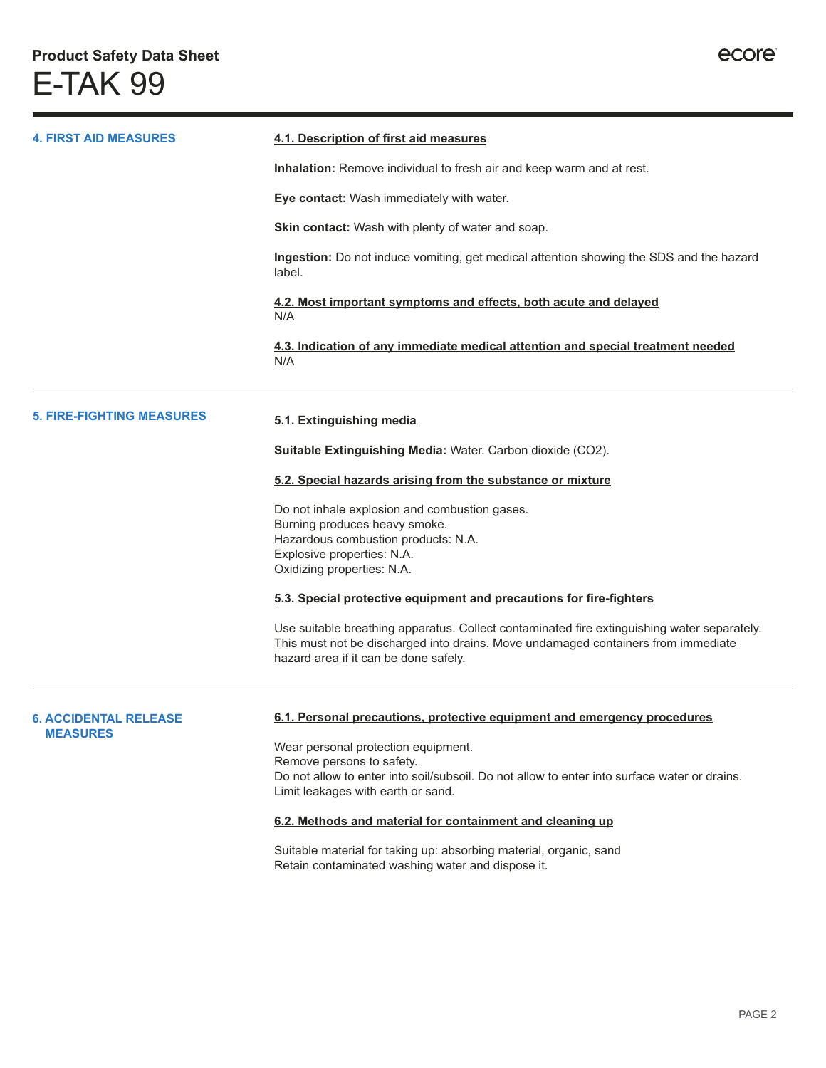| <b>4. FIRST AID MEASURES</b>                    | 4.1. Description of first aid measures                                                                                                                                                                                    |
|-------------------------------------------------|---------------------------------------------------------------------------------------------------------------------------------------------------------------------------------------------------------------------------|
|                                                 | Inhalation: Remove individual to fresh air and keep warm and at rest.                                                                                                                                                     |
|                                                 |                                                                                                                                                                                                                           |
|                                                 | Eye contact: Wash immediately with water.                                                                                                                                                                                 |
|                                                 | <b>Skin contact:</b> Wash with plenty of water and soap.                                                                                                                                                                  |
|                                                 | Ingestion: Do not induce vomiting, get medical attention showing the SDS and the hazard<br>label.                                                                                                                         |
|                                                 | 4.2. Most important symptoms and effects, both acute and delayed<br>N/A                                                                                                                                                   |
|                                                 | 4.3. Indication of any immediate medical attention and special treatment needed<br>N/A                                                                                                                                    |
| <b>5. FIRE-FIGHTING MEASURES</b>                | 5.1. Extinguishing media                                                                                                                                                                                                  |
|                                                 | <b>Suitable Extinguishing Media: Water. Carbon dioxide (CO2).</b>                                                                                                                                                         |
|                                                 | 5.2. Special hazards arising from the substance or mixture                                                                                                                                                                |
|                                                 | Do not inhale explosion and combustion gases.                                                                                                                                                                             |
|                                                 | Burning produces heavy smoke.                                                                                                                                                                                             |
|                                                 | Hazardous combustion products: N.A.<br>Explosive properties: N.A.                                                                                                                                                         |
|                                                 | Oxidizing properties: N.A.                                                                                                                                                                                                |
|                                                 | 5.3. Special protective equipment and precautions for fire-fighters                                                                                                                                                       |
|                                                 | Use suitable breathing apparatus. Collect contaminated fire extinguishing water separately.<br>This must not be discharged into drains. Move undamaged containers from immediate<br>hazard area if it can be done safely. |
| <b>6. ACCIDENTAL RELEASE</b><br><b>MEASURES</b> | 6.1. Personal precautions, protective equipment and emergency procedures                                                                                                                                                  |
|                                                 | Wear personal protection equipment.                                                                                                                                                                                       |
|                                                 | Remove persons to safety.                                                                                                                                                                                                 |
|                                                 | Do not allow to enter into soil/subsoil. Do not allow to enter into surface water or drains.<br>Limit leakages with earth or sand.                                                                                        |
|                                                 | 6.2. Methods and material for containment and cleaning up                                                                                                                                                                 |
|                                                 | Suitable material for taking up: absorbing material, organic, sand<br>Retain contaminated washing water and dispose it.                                                                                                   |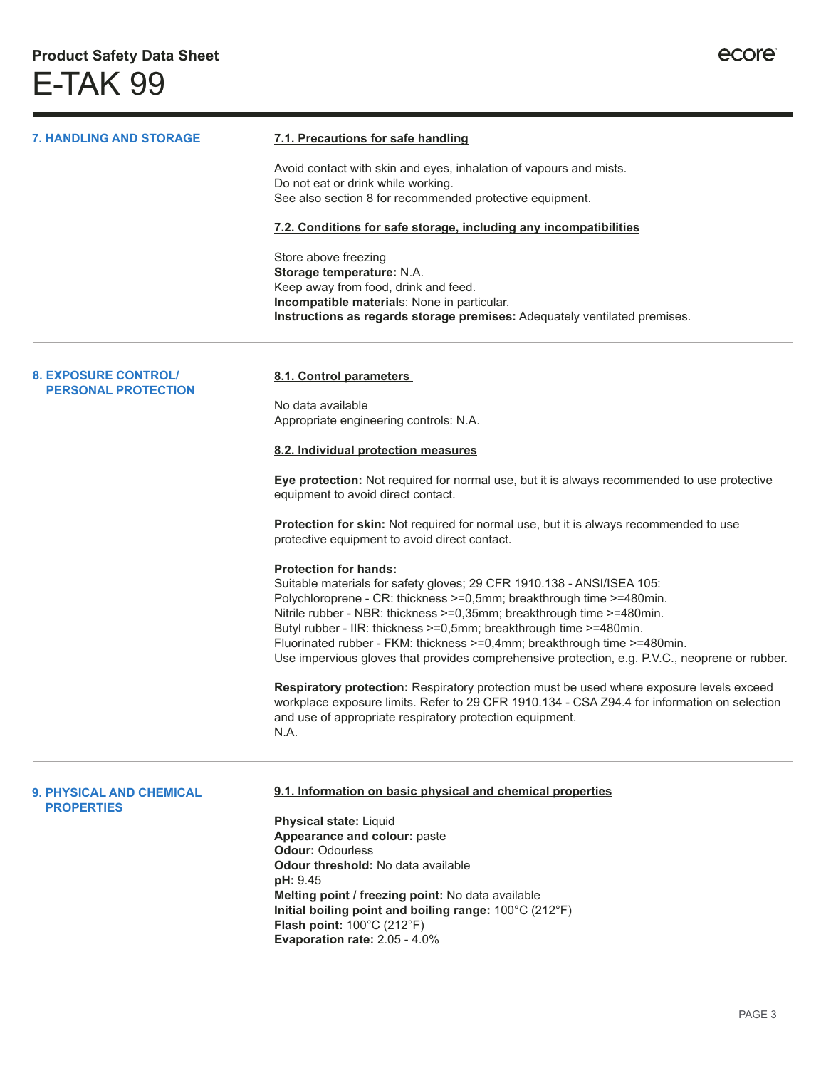| <b>7. HANDLING AND STORAGE</b>                       | 7.1. Precautions for safe handling                                                                                                                                                       |
|------------------------------------------------------|------------------------------------------------------------------------------------------------------------------------------------------------------------------------------------------|
|                                                      | Avoid contact with skin and eyes, inhalation of vapours and mists.                                                                                                                       |
|                                                      | Do not eat or drink while working.<br>See also section 8 for recommended protective equipment.                                                                                           |
|                                                      | 7.2. Conditions for safe storage, including any incompatibilities                                                                                                                        |
|                                                      | Store above freezing                                                                                                                                                                     |
|                                                      | Storage temperature: N.A.<br>Keep away from food, drink and feed.                                                                                                                        |
|                                                      | Incompatible materials: None in particular.<br>Instructions as regards storage premises: Adequately ventilated premises.                                                                 |
|                                                      |                                                                                                                                                                                          |
| <b>8. EXPOSURE CONTROL/</b>                          | 8.1. Control parameters                                                                                                                                                                  |
| <b>PERSONAL PROTECTION</b>                           | No data available                                                                                                                                                                        |
|                                                      | Appropriate engineering controls: N.A.                                                                                                                                                   |
|                                                      | 8.2. Individual protection measures                                                                                                                                                      |
|                                                      | Eye protection: Not required for normal use, but it is always recommended to use protective<br>equipment to avoid direct contact.                                                        |
|                                                      | Protection for skin: Not required for normal use, but it is always recommended to use<br>protective equipment to avoid direct contact.                                                   |
|                                                      | <b>Protection for hands:</b>                                                                                                                                                             |
|                                                      | Suitable materials for safety gloves; 29 CFR 1910.138 - ANSI/ISEA 105:<br>Polychloroprene - CR: thickness >=0,5mm; breakthrough time >=480min.                                           |
|                                                      | Nitrile rubber - NBR: thickness >=0,35mm; breakthrough time >=480min.                                                                                                                    |
|                                                      | Butyl rubber - IIR: thickness >=0,5mm; breakthrough time >=480min.<br>Fluorinated rubber - FKM: thickness >=0,4mm; breakthrough time >=480min.                                           |
|                                                      | Use impervious gloves that provides comprehensive protection, e.g. P.V.C., neoprene or rubber.                                                                                           |
|                                                      | Respiratory protection: Respiratory protection must be used where exposure levels exceed<br>workplace exposure limits. Refer to 29 CFR 1910.134 - CSA Z94.4 for information on selection |
|                                                      | and use of appropriate respiratory protection equipment.                                                                                                                                 |
|                                                      | N.A.                                                                                                                                                                                     |
| <b>9. PHYSICAL AND CHEMICAL</b><br><b>PROPERTIES</b> | 9.1. Information on basic physical and chemical properties                                                                                                                               |
|                                                      | Physical state: Liquid                                                                                                                                                                   |
|                                                      | Appearance and colour: paste                                                                                                                                                             |
|                                                      | <b>Odour: Odourless</b><br><b>Odour threshold: No data available</b>                                                                                                                     |
|                                                      | pH: 9.45                                                                                                                                                                                 |
|                                                      | Melting point / freezing point: No data available<br>Initial boiling point and boiling range: 100°C (212°F)                                                                              |
|                                                      | <b>Flash point: 100°C (212°F)</b>                                                                                                                                                        |
|                                                      | Evaporation rate: 2.05 - 4.0%                                                                                                                                                            |
|                                                      |                                                                                                                                                                                          |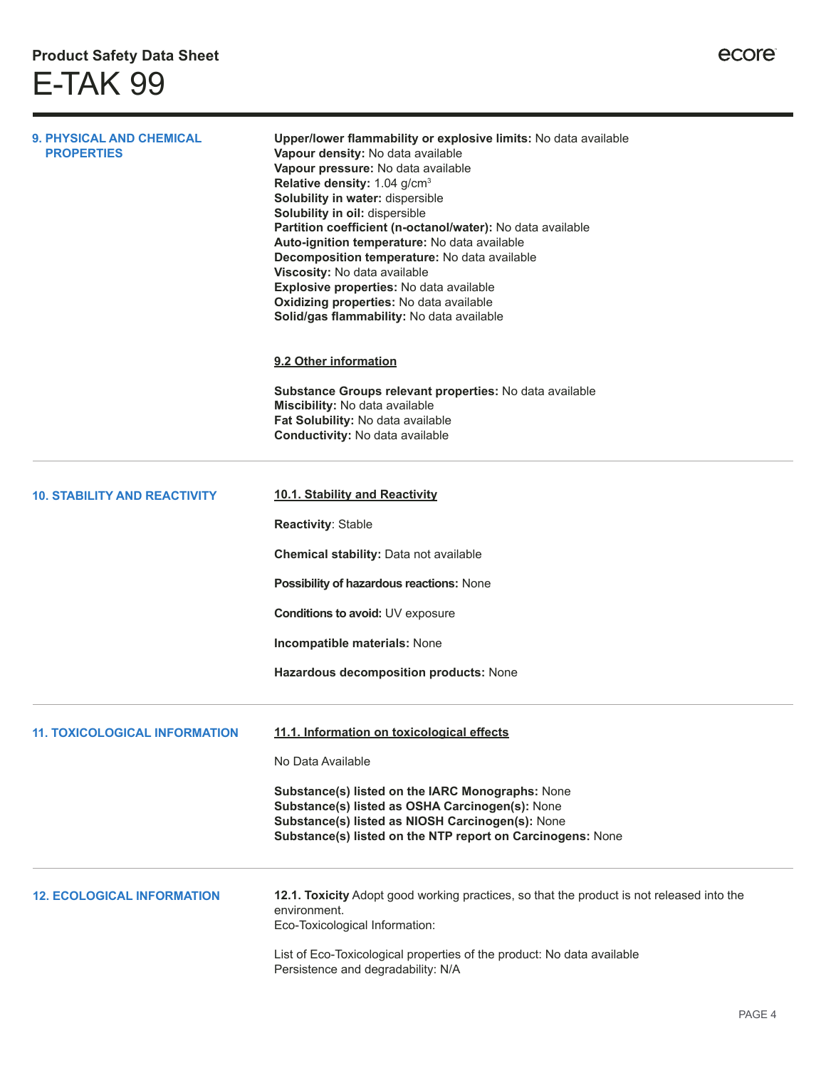| <b>9. PHYSICAL AND CHEMICAL</b><br><b>PROPERTIES</b> | Upper/lower flammability or explosive limits: No data available<br>Vapour density: No data available<br>Vapour pressure: No data available<br>Relative density: 1.04 g/cm <sup>3</sup><br>Solubility in water: dispersible<br>Solubility in oil: dispersible<br>Partition coefficient (n-octanol/water): No data available<br>Auto-ignition temperature: No data available<br>Decomposition temperature: No data available<br>Viscosity: No data available<br>Explosive properties: No data available<br>Oxidizing properties: No data available<br>Solid/gas flammability: No data available |  |
|------------------------------------------------------|-----------------------------------------------------------------------------------------------------------------------------------------------------------------------------------------------------------------------------------------------------------------------------------------------------------------------------------------------------------------------------------------------------------------------------------------------------------------------------------------------------------------------------------------------------------------------------------------------|--|
|                                                      | 9.2 Other information<br>Substance Groups relevant properties: No data available<br>Miscibility: No data available<br>Fat Solubility: No data available                                                                                                                                                                                                                                                                                                                                                                                                                                       |  |
|                                                      | Conductivity: No data available                                                                                                                                                                                                                                                                                                                                                                                                                                                                                                                                                               |  |
| <b>10. STABILITY AND REACTIVITY</b>                  | 10.1. Stability and Reactivity                                                                                                                                                                                                                                                                                                                                                                                                                                                                                                                                                                |  |
|                                                      | Reactivity: Stable                                                                                                                                                                                                                                                                                                                                                                                                                                                                                                                                                                            |  |
|                                                      | Chemical stability: Data not available                                                                                                                                                                                                                                                                                                                                                                                                                                                                                                                                                        |  |
|                                                      | Possibility of hazardous reactions: None                                                                                                                                                                                                                                                                                                                                                                                                                                                                                                                                                      |  |
|                                                      | Conditions to avoid: UV exposure                                                                                                                                                                                                                                                                                                                                                                                                                                                                                                                                                              |  |
|                                                      | Incompatible materials: None                                                                                                                                                                                                                                                                                                                                                                                                                                                                                                                                                                  |  |
|                                                      | Hazardous decomposition products: None                                                                                                                                                                                                                                                                                                                                                                                                                                                                                                                                                        |  |
| <b>11. TOXICOLOGICAL INFORMATION</b>                 | 11.1. Information on toxicological effects                                                                                                                                                                                                                                                                                                                                                                                                                                                                                                                                                    |  |
|                                                      | No Data Available                                                                                                                                                                                                                                                                                                                                                                                                                                                                                                                                                                             |  |
|                                                      | Substance(s) listed on the IARC Monographs: None<br>Substance(s) listed as OSHA Carcinogen(s): None<br>Substance(s) listed as NIOSH Carcinogen(s): None<br>Substance(s) listed on the NTP report on Carcinogens: None                                                                                                                                                                                                                                                                                                                                                                         |  |
| <b>12. ECOLOGICAL INFORMATION</b>                    | 12.1. Toxicity Adopt good working practices, so that the product is not released into the<br>environment.<br>Eco-Toxicological Information:                                                                                                                                                                                                                                                                                                                                                                                                                                                   |  |
|                                                      | List of Eco-Toxicological properties of the product: No data available<br>Persistence and degradability: N/A                                                                                                                                                                                                                                                                                                                                                                                                                                                                                  |  |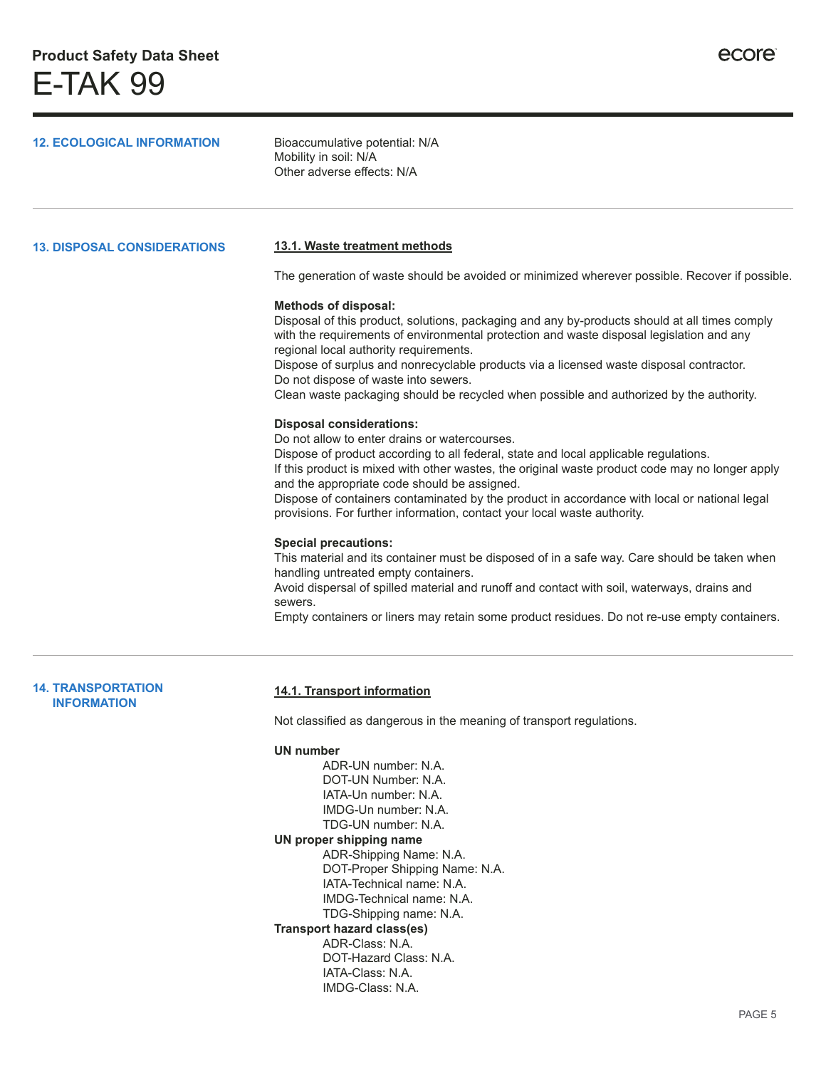| <b>12. ECOLOGICAL INFORMATION</b>               | Bioaccumulative potential: N/A<br>Mobility in soil: N/A<br>Other adverse effects: N/A                                                                                                                                                                                                                                                                                                                                                                                                                   |
|-------------------------------------------------|---------------------------------------------------------------------------------------------------------------------------------------------------------------------------------------------------------------------------------------------------------------------------------------------------------------------------------------------------------------------------------------------------------------------------------------------------------------------------------------------------------|
| <b>13. DISPOSAL CONSIDERATIONS</b>              | 13.1. Waste treatment methods                                                                                                                                                                                                                                                                                                                                                                                                                                                                           |
|                                                 | The generation of waste should be avoided or minimized wherever possible. Recover if possible.                                                                                                                                                                                                                                                                                                                                                                                                          |
|                                                 | <b>Methods of disposal:</b><br>Disposal of this product, solutions, packaging and any by-products should at all times comply<br>with the requirements of environmental protection and waste disposal legislation and any<br>regional local authority requirements.<br>Dispose of surplus and nonrecyclable products via a licensed waste disposal contractor.<br>Do not dispose of waste into sewers.<br>Clean waste packaging should be recycled when possible and authorized by the authority.        |
|                                                 | <b>Disposal considerations:</b><br>Do not allow to enter drains or watercourses.<br>Dispose of product according to all federal, state and local applicable regulations.<br>If this product is mixed with other wastes, the original waste product code may no longer apply<br>and the appropriate code should be assigned.<br>Dispose of containers contaminated by the product in accordance with local or national legal<br>provisions. For further information, contact your local waste authority. |
|                                                 | <b>Special precautions:</b><br>This material and its container must be disposed of in a safe way. Care should be taken when<br>handling untreated empty containers.<br>Avoid dispersal of spilled material and runoff and contact with soil, waterways, drains and<br>sewers.<br>Empty containers or liners may retain some product residues. Do not re-use empty containers.                                                                                                                           |
| <b>14. TRANSPORTATION</b><br><b>INFORMATION</b> | 14.1. Transport information<br>Not classified as dangerous in the meaning of transport regulations                                                                                                                                                                                                                                                                                                                                                                                                      |
|                                                 | <b>UN number</b><br>ADR-UN number: N.A.<br>DOT-UN Number: N.A.<br>IATA-Un number: N.A.<br>IMDG-Un number: N.A.<br>TDG-UN number: N.A.<br>UN proper shipping name<br>ADR-Shipping Name: N.A.<br>DOT-Proper Shipping Name: N.A.                                                                                                                                                                                                                                                                           |

- IATA-Technical name: N.A. IMDG-Technical name: N.A.
- TDG-Shipping name: N.A.
- **Transport hazard class(es)**
	- ADR-Class: N.A. DOT-Hazard Class: N.A.
		- IATA-Class: N.A.
			- IMDG-Class: N.A.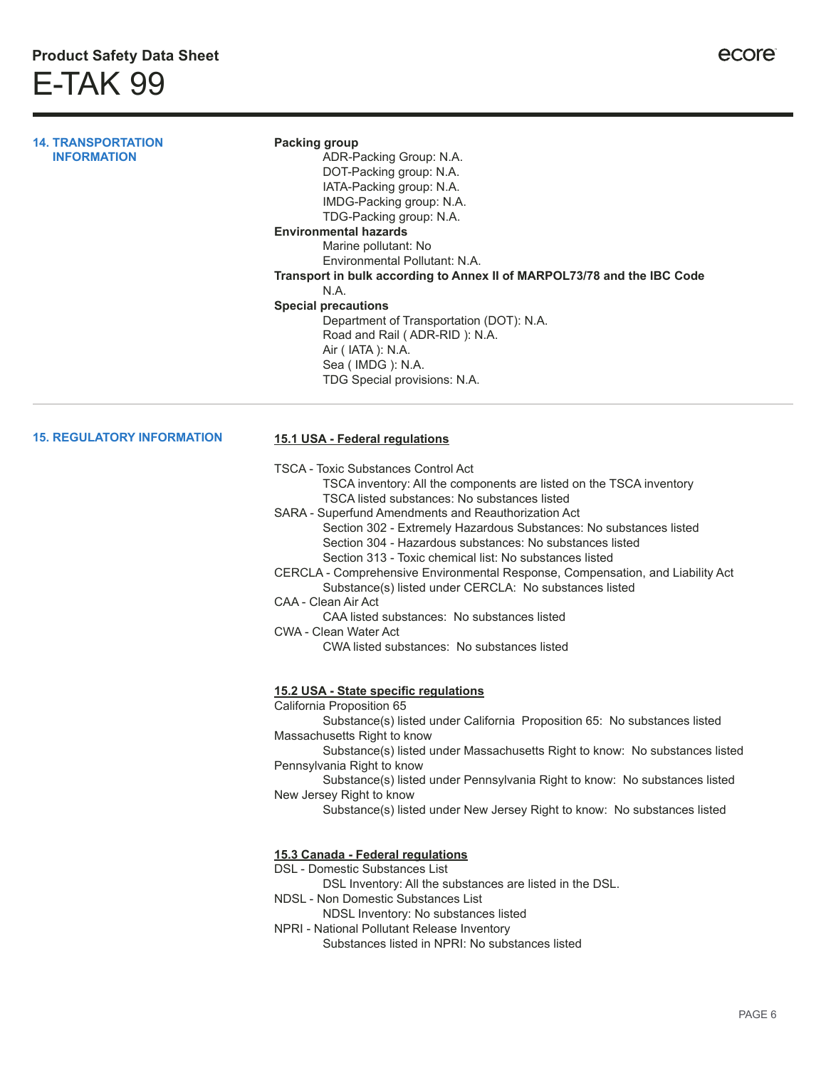**14. TRANSPORTATION INFORMATION**

#### **Packing group** ADR-Packing Group: N.A. DOT-Packing group: N.A. IATA-Packing group: N.A. IMDG-Packing group: N.A. TDG-Packing group: N.A.

#### **Environmental hazards**

Marine pollutant: No Environmental Pollutant: N.A. **Transport in bulk according to Annex II of MARPOL73/78 and the IBC Code** N.A. **Special precautions** Department of Transportation (DOT): N.A.

## Road and Rail ( ADR-RID ): N.A. Air ( IATA ): N.A.

Sea ( IMDG ): N.A. TDG Special provisions: N.A.

## **15. REGULATORY INFORMATION**

## **15.1 USA - Federal regulations**

TSCA - Toxic Substances Control Act

TSCA inventory: All the components are listed on the TSCA inventory TSCA listed substances: No substances listed

- SARA Superfund Amendments and Reauthorization Act Section 302 - Extremely Hazardous Substances: No substances listed Section 304 - Hazardous substances: No substances listed
	- Section 313 Toxic chemical list: No substances listed
- CERCLA Comprehensive Environmental Response, Compensation, and Liability Act Substance(s) listed under CERCLA: No substances listed
- CAA Clean Air Act
	- CAA listed substances: No substances listed

CWA - Clean Water Act

CWA listed substances: No substances listed

# **15.2 USA - State specific regulations**

California Proposition 65

Substance(s) listed under California Proposition 65: No substances listed Massachusetts Right to know

Substance(s) listed under Massachusetts Right to know: No substances listed Pennsylvania Right to know

Substance(s) listed under Pennsylvania Right to know: No substances listed New Jersey Right to know

Substance(s) listed under New Jersey Right to know: No substances listed

#### **15.3 Canada - Federal regulations**

#### DSL - Domestic Substances List

- DSL Inventory: All the substances are listed in the DSL.
- NDSL Non Domestic Substances List
	- NDSL Inventory: No substances listed
- NPRI National Pollutant Release Inventory Substances listed in NPRI: No substances listed